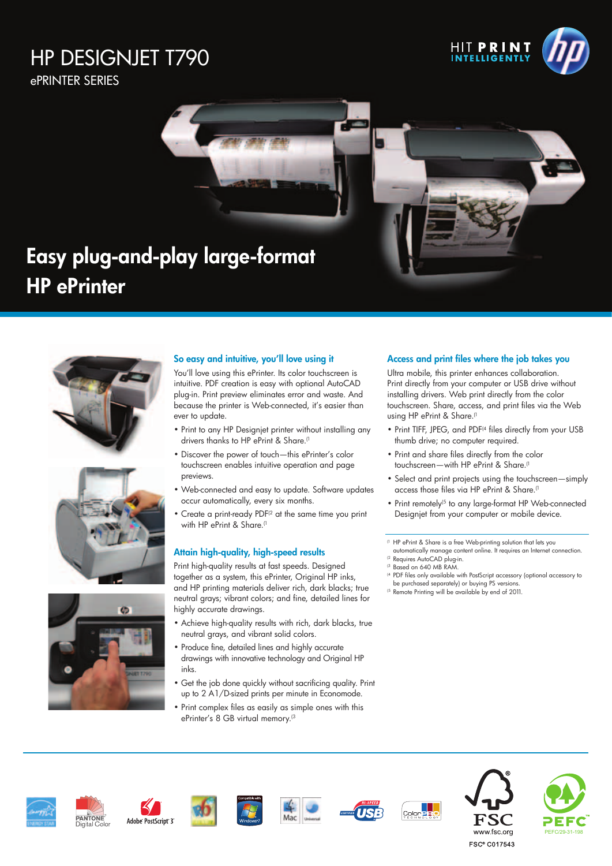# HP DESIGNJET T790

ePRINTER SERIES

**HP** ePrinter









# So easy and intuitive, you'll love using it

You'll love using this ePrinter. Its color touchscreen is intuitive. PDF creation is easy with optional AutoCAD plug-in. Print preview eliminates error and waste. And because the printer is Web-connected, it's easier than ever to update.

- Print to any HP Designjet printer without installing any drivers thanks to HP ePrint & Share.<sup>(1</sup>
- Discover the power of touch—this ePrinter's color touchscreen enables intuitive operation and page previews.
- Web-connected and easy to update. Software updates occur automatically, every six months.
- Create a print-ready PDF<sup>(2</sup> at the same time you print with HP ePrint & Share.<sup>(1</sup>

## Attain high-quality, high-speed results

Print high-quality results at fast speeds. Designed together as a system, this ePrinter, Original HP inks, and HP printing materials deliver rich, dark blacks; true neutral grays; vibrant colors; and fine, detailed lines for highly accurate drawings.

- Achieve high-quality results with rich, dark blacks, true neutral grays, and vibrant solid colors.
- Produce fine, detailed lines and highly accurate drawings with innovative technology and Original HP inks.
- Get the job done quickly without sacrificing quality. Print up to 2 A1/D-sized prints per minute in Economode.
- Print complex files as easily as simple ones with this ePrinter's 8 GB virtual memory.<sup>(3</sup>

### Access and print files where the job takes you

Ultra mobile, this printer enhances collaboration. Print directly from your computer or USB drive without installing drivers. Web print directly from the color touchscreen. Share, access, and print files via the Web using HP ePrint & Share.<sup>(1</sup>

- Print TIFF, JPEG, and PDF<sup>(4</sup> files directly from your USB thumb drive; no computer required.
- Print and share files directly from the color touchscreen—with HP ePrint & Share.<sup>(1</sup>
- Select and print projects using the touchscreen—simply access those files via HP ePrint & Share.<sup>(1</sup>
- Print remotely<sup>(5</sup> to any large-format HP Web-connected Designjet from your computer or mobile device.

(1 HP ePrint & Share is a free Web-printing solution that lets you

- automatically manage content online. It requires an Internet connection. <sup>(2</sup> Requires AutoCAD plug-in.
- (3 Based on 640 MB RAM.
- <sup>(4</sup> PDF files only available with PostScript accessory (optional accessory to be purchased separately) or buying PS versions.
- (5 Remote Printing will be available by end of 2011.